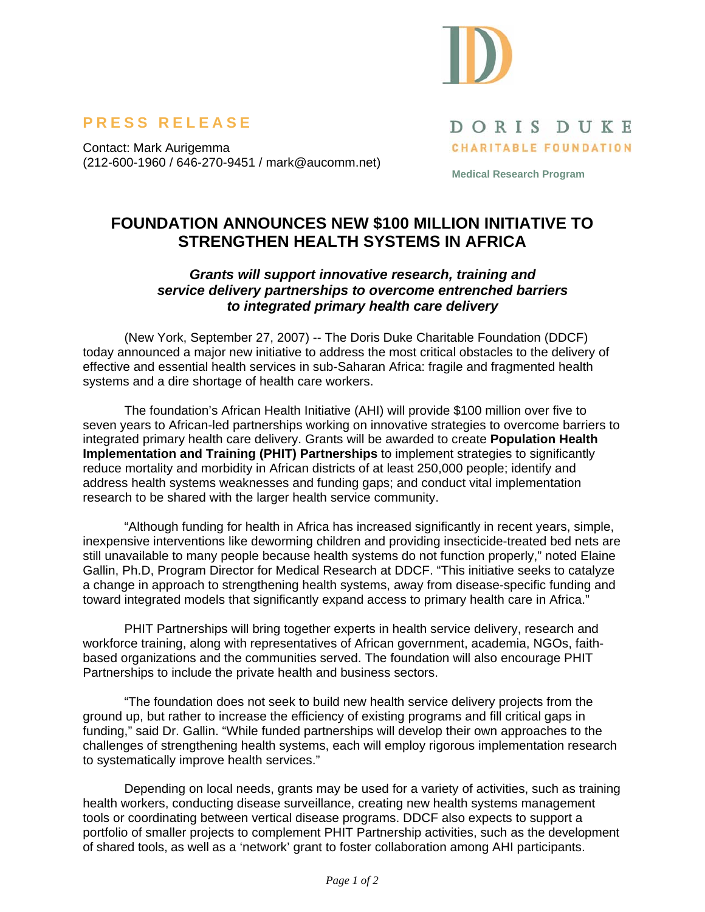

## **PRESS RELEASE**

Contact: Mark Aurigemma (212-600-1960 / 646-270-9451 / mark@aucomm.net) DORIS DUKE **CHARITABLE FOUNDATION** 

**Medical Research Program** 

## **FOUNDATION ANNOUNCES NEW \$100 MILLION INITIATIVE TO STRENGTHEN HEALTH SYSTEMS IN AFRICA**

## *Grants will support innovative research, training and service delivery partnerships to overcome entrenched barriers to integrated primary health care delivery*

(New York, September 27, 2007) -- The Doris Duke Charitable Foundation (DDCF) today announced a major new initiative to address the most critical obstacles to the delivery of effective and essential health services in sub-Saharan Africa: fragile and fragmented health systems and a dire shortage of health care workers.

The foundation's African Health Initiative (AHI) will provide \$100 million over five to seven years to African-led partnerships working on innovative strategies to overcome barriers to integrated primary health care delivery. Grants will be awarded to create **Population Health Implementation and Training (PHIT) Partnerships** to implement strategies to significantly reduce mortality and morbidity in African districts of at least 250,000 people; identify and address health systems weaknesses and funding gaps; and conduct vital implementation research to be shared with the larger health service community.

"Although funding for health in Africa has increased significantly in recent years, simple, inexpensive interventions like deworming children and providing insecticide-treated bed nets are still unavailable to many people because health systems do not function properly," noted Elaine Gallin, Ph.D, Program Director for Medical Research at DDCF. "This initiative seeks to catalyze a change in approach to strengthening health systems, away from disease-specific funding and toward integrated models that significantly expand access to primary health care in Africa."

PHIT Partnerships will bring together experts in health service delivery, research and workforce training, along with representatives of African government, academia, NGOs, faithbased organizations and the communities served. The foundation will also encourage PHIT Partnerships to include the private health and business sectors.

"The foundation does not seek to build new health service delivery projects from the ground up, but rather to increase the efficiency of existing programs and fill critical gaps in funding," said Dr. Gallin. "While funded partnerships will develop their own approaches to the challenges of strengthening health systems, each will employ rigorous implementation research to systematically improve health services."

Depending on local needs, grants may be used for a variety of activities, such as training health workers, conducting disease surveillance, creating new health systems management tools or coordinating between vertical disease programs. DDCF also expects to support a portfolio of smaller projects to complement PHIT Partnership activities, such as the development of shared tools, as well as a 'network' grant to foster collaboration among AHI participants.